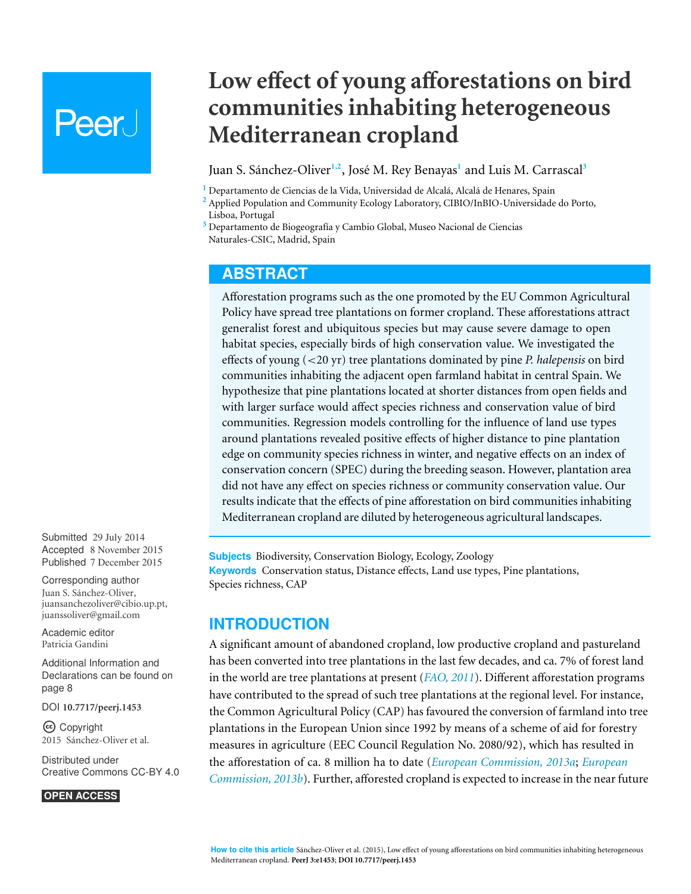# **Peer**

# **Low effect of young afforestations on bird communities inhabiting heterogeneous Mediterranean cropland**

### Juan S. Sánchez-Oliver<sup>1,2</sup>, José M. Rey Benayas<sup>1</sup> and Luis M. Carrascal<sup>3</sup>

<sup>1</sup> Departamento de Ciencias de la Vida, Universidad de Alcalá, Alcalá de Henares, Spain

**<sup>2</sup>** Applied Population and Community Ecology Laboratory, CIBIO/InBIO-Universidade do Porto, Lisboa, Portugal

<sup>3</sup> Departamento de Biogeografía y Cambio Global, Museo Nacional de Ciencias Naturales-CSIC, Madrid, Spain

# **ABSTRACT**

Afforestation programs such as the one promoted by the EU Common Agricultural Policy have spread tree plantations on former cropland. These afforestations attract generalist forest and ubiquitous species but may cause severe damage to open habitat species, especially birds of high conservation value. We investigated the effects of young (<20 yr) tree plantations dominated by pine *P. halepensis* on bird communities inhabiting the adjacent open farmland habitat in central Spain. We hypothesize that pine plantations located at shorter distances from open fields and with larger surface would affect species richness and conservation value of bird communities. Regression models controlling for the influence of land use types around plantations revealed positive effects of higher distance to pine plantation edge on community species richness in winter, and negative effects on an index of conservation concern (SPEC) during the breeding season. However, plantation area did not have any effect on species richness or community conservation value. Our results indicate that the effects of pine afforestation on bird communities inhabiting Mediterranean cropland are diluted by heterogeneous agricultural landscapes.

**Subjects** Biodiversity, Conservation Biology, Ecology, Zoology **Keywords** Conservation status, Distance effects, Land use types, Pine plantations, Species richness, CAP

# **INTRODUCTION**

A significant amount of abandoned cropland, low productive cropland and pastureland has been converted into tree plantations in the last few decades, and ca. 7% of forest land in the world are tree plantations at present (*[FAO,](#page-9-0) [2011](#page-9-0)*). Different afforestation programs have contributed to the spread of such tree plantations at the regional level. For instance, the Common Agricultural Policy (CAP) has favoured the conversion of farmland into tree plantations in the European Union since 1992 by means of a scheme of aid for forestry measures in agriculture (EEC Council Regulation No. 2080/92), which has resulted in the afforestation of ca. 8 million ha to date (*[European](#page-9-1) [Commission,](#page-9-1) [2013a](#page-9-1)*; *[European](#page-9-2) [Commission,](#page-9-2) [2013b](#page-9-2)*). Further, afforested cropland is expected to increase in the near future

Submitted 29 July 2014 Accepted 8 November 2015 Published 7 December 2015

Corresponding author Juan S. Sánchez-Oliver, [juansanchezoliver@cibio.up.pt,](mailto:juansanchezoliver@cibio.up.pt) [juanssoliver@gmail.com](mailto:juanssoliver@gmail.com)

[Academic editor](https://peerj.com/academic-boards/editors/) [Patricia Gandini](https://peerj.com/academic-boards/editors/)

[Additional Information and](#page-7-0) [Declarations can be found on](#page-7-0) [page 8](#page-7-0)

[DOI](http://dx.doi.org/10.7717/peerj.1453) **[10.7717/peerj.1453](http://dx.doi.org/10.7717/peerj.1453)**

Copyright 2015 Sánchez-Oliver et al.

[Distributed under](http://creativecommons.org/licenses/by/4.0/) [Creative Commons CC-BY 4.0](http://creativecommons.org/licenses/by/4.0/)

#### **OPEN ACCESS**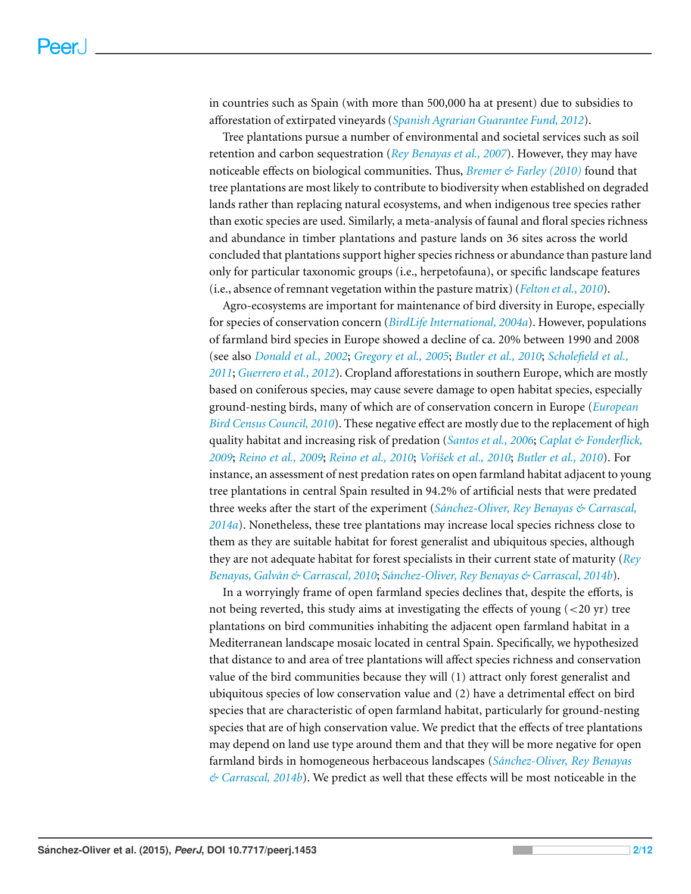in countries such as Spain (with more than 500,000 ha at present) due to subsidies to afforestation of extirpated vineyards (*[Spanish](#page-11-0) [Agrarian](#page-11-0) [Guarantee](#page-11-0) [Fund,](#page-11-0) [2012](#page-11-0)*).

Tree plantations pursue a number of environmental and societal services such as soil retention and carbon sequestration (*[Rey](#page-10-0) [Benayas](#page-10-0) [et](#page-10-0) [al.,](#page-10-0) [2007](#page-10-0)*). However, they may have noticeable effects on biological communities. Thus, *[Bremer](#page-9-3) [&](#page-9-3) [Farley](#page-9-3) [\(2010\)](#page-9-3)* found that tree plantations are most likely to contribute to biodiversity when established on degraded lands rather than replacing natural ecosystems, and when indigenous tree species rather than exotic species are used. Similarly, a meta-analysis of faunal and floral species richness and abundance in timber plantations and pasture lands on 36 sites across the world concluded that plantations support higher species richness or abundance than pasture land only for particular taxonomic groups (i.e., herpetofauna), or specific landscape features (i.e., absence of remnant vegetation within the pasture matrix) (*[Felton](#page-9-4) [et](#page-9-4) [al.,](#page-9-4) [2010](#page-9-4)*).

Agro-ecosystems are important for maintenance of bird diversity in Europe, especially for species of conservation concern (*[BirdLife](#page-8-0) [International,](#page-8-0) [2004a](#page-8-0)*). However, populations of farmland bird species in Europe showed a decline of ca. 20% between 1990 and 2008 (see also *[Donald](#page-9-5) [et](#page-9-5) [al.,](#page-9-5) [2002](#page-9-5)*; *[Gregory](#page-10-1) [et](#page-10-1) [al.,](#page-10-1) [2005](#page-10-1)*; *[Butler](#page-9-6) [et](#page-9-6) [al.,](#page-9-6) [2010](#page-9-6)*; *[Scholefield](#page-11-1) [et](#page-11-1) [al.,](#page-11-1) [2011](#page-11-1)*; *[Guerrero](#page-10-2) [et](#page-10-2) [al.,](#page-10-2) [2012](#page-10-2)*). Cropland afforestations in southern Europe, which are mostly based on coniferous species, may cause severe damage to open habitat species, especially ground-nesting birds, many of which are of conservation concern in Europe (*[European](#page-9-7) [Bird](#page-9-7) [Census](#page-9-7) [Council,](#page-9-7) [2010](#page-9-7)*). These negative effect are mostly due to the replacement of high quality habitat and increasing risk of predation (*[Santos](#page-11-2) [et](#page-11-2) [al.,](#page-11-2) [2006](#page-11-2)*; *[Caplat](#page-9-8) [&](#page-9-8) [Fonderflick,](#page-9-8) [2009](#page-9-8)*; *[Reino](#page-10-3) [et](#page-10-3) [al.,](#page-10-3) [2009](#page-10-3)*; *[Reino](#page-10-4) [et](#page-10-4) [al.,](#page-10-4) [2010](#page-10-4)*; *[Voˇr´ıˇsek](#page-11-3) [et](#page-11-3) [al.,](#page-11-3) [2010](#page-11-3)*; *[Butler](#page-9-6) [et](#page-9-6) [al.,](#page-9-6) [2010](#page-9-6)*). For instance, an assessment of nest predation rates on open farmland habitat adjacent to young tree plantations in central Spain resulted in 94.2% of artificial nests that were predated three weeks after the start of the experiment (*[Sanchez-Oliver,](#page-10-5) ´ [Rey](#page-10-5) [Benayas](#page-10-5) [&](#page-10-5) [Carrascal,](#page-10-5) [2014a](#page-10-5)*). Nonetheless, these tree plantations may increase local species richness close to them as they are suitable habitat for forest generalist and ubiquitous species, although they are not adequate habitat for forest specialists in their current state of maturity (*[Rey](#page-10-6) [Benayas,](#page-10-6) [Galvan´](#page-10-6) [&](#page-10-6) [Carrascal,](#page-10-6) [2010](#page-10-6)*; *[Sanchez-Oliver,](#page-11-4) ´ [Rey](#page-11-4) [Benayas](#page-11-4) [&](#page-11-4) [Carrascal,](#page-11-4) [2014b](#page-11-4)*).

In a worryingly frame of open farmland species declines that, despite the efforts, is not being reverted, this study aims at investigating the effects of young (<20 yr) tree plantations on bird communities inhabiting the adjacent open farmland habitat in a Mediterranean landscape mosaic located in central Spain. Specifically, we hypothesized that distance to and area of tree plantations will affect species richness and conservation value of the bird communities because they will (1) attract only forest generalist and ubiquitous species of low conservation value and (2) have a detrimental effect on bird species that are characteristic of open farmland habitat, particularly for ground-nesting species that are of high conservation value. We predict that the effects of tree plantations may depend on land use type around them and that they will be more negative for open farmland birds in homogeneous herbaceous landscapes (*[Sanchez-Oliver,](#page-11-4) ´ [Rey](#page-11-4) [Benayas](#page-11-4) [&](#page-11-4) [Carrascal,](#page-11-4) [2014b](#page-11-4)*). We predict as well that these effects will be most noticeable in the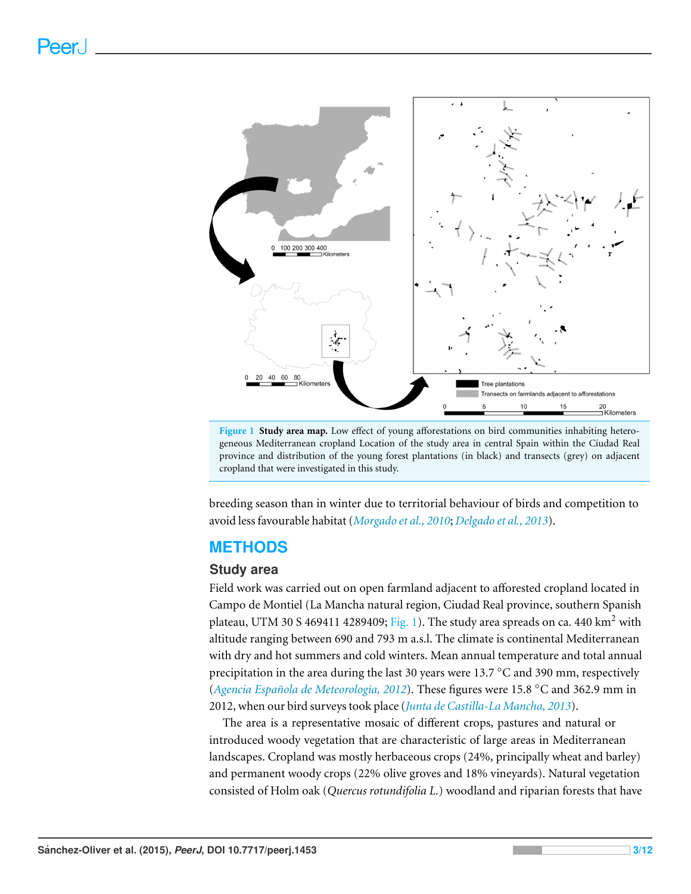<span id="page-2-0"></span>

**Figure 1 Study area map.** Low effect of young afforestations on bird communities inhabiting heterogeneous Mediterranean cropland Location of the study area in central Spain within the Ciudad Real province and distribution of the young forest plantations (in black) and transects (grey) on adjacent cropland that were investigated in this study.

breeding season than in winter due to territorial behaviour of birds and competition to avoid less favourable habitat (*[Morgado](#page-10-7) [et](#page-10-7) [al.,](#page-10-7) [2010](#page-10-7)*; *[Delgado](#page-9-9) [et](#page-9-9) [al.,](#page-9-9) [2013](#page-9-9)*).

# **METHODS**

# **Study area**

Field work was carried out on open farmland adjacent to afforested cropland located in Campo de Montiel (La Mancha natural region, Ciudad Real province, southern Spanish plateau, UTM 30 S 469411 4289409; [Fig. 1\)](#page-2-0). The study area spreads on ca. 440  $\text{km}^2$  with altitude ranging between 690 and 793 m a.s.l. The climate is continental Mediterranean with dry and hot summers and cold winters. Mean annual temperature and total annual precipitation in the area during the last 30 years were 13.7 ◦C and 390 mm, respectively (*[Agencia](#page-8-1) [Espanola](#page-8-1) ˜ [de](#page-8-1) [Meteorolog´ıa,](#page-8-1) [2012](#page-8-1)*). These figures were 15.8 ◦C and 362.9 mm in 2012, when our bird surveys took place (*[Junta](#page-10-8) [de](#page-10-8) [Castilla-La](#page-10-8) [Mancha,](#page-10-8) [2013](#page-10-8)*).

The area is a representative mosaic of different crops, pastures and natural or introduced woody vegetation that are characteristic of large areas in Mediterranean landscapes. Cropland was mostly herbaceous crops (24%, principally wheat and barley) and permanent woody crops (22% olive groves and 18% vineyards). Natural vegetation consisted of Holm oak (*Quercus rotundifolia L.*) woodland and riparian forests that have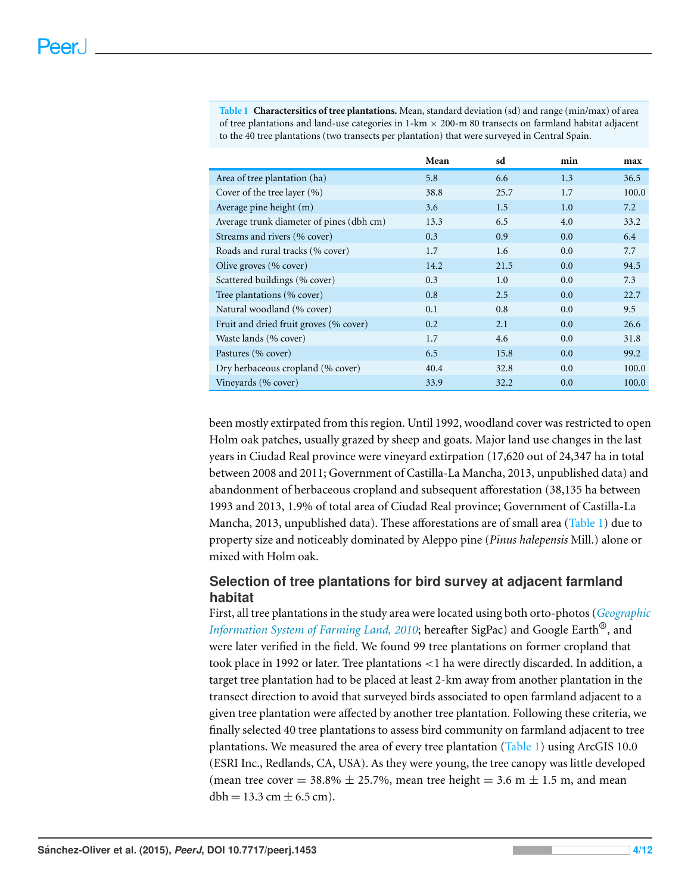<span id="page-3-0"></span>**Table 1 Charactersitics of tree plantations.** Mean, standard deviation (sd) and range (min/max) of area of tree plantations and land-use categories in  $1-km \times 200$ -m 80 transects on farmland habitat adjacent to the 40 tree plantations (two transects per plantation) that were surveyed in Central Spain.

|                                          | Mean | sd   | min | max   |
|------------------------------------------|------|------|-----|-------|
| Area of tree plantation (ha)             | 5.8  | 6.6  | 1.3 | 36.5  |
| Cover of the tree layer $(\% )$          | 38.8 | 25.7 | 1.7 | 100.0 |
| Average pine height (m)                  | 3.6  | 1.5  | 1.0 | 7.2   |
| Average trunk diameter of pines (dbh cm) | 13.3 | 6.5  | 4.0 | 33.2  |
| Streams and rivers (% cover)             | 0.3  | 0.9  | 0.0 | 6.4   |
| Roads and rural tracks (% cover)         | 1.7  | 1.6  | 0.0 | 7.7   |
| Olive groves (% cover)                   | 14.2 | 21.5 | 0.0 | 94.5  |
| Scattered buildings (% cover)            | 0.3  | 1.0  | 0.0 | 7.3   |
| Tree plantations (% cover)               | 0.8  | 2.5  | 0.0 | 22.7  |
| Natural woodland (% cover)               | 0.1  | 0.8  | 0.0 | 9.5   |
| Fruit and dried fruit groves (% cover)   | 0.2  | 2.1  | 0.0 | 26.6  |
| Waste lands (% cover)                    | 1.7  | 4.6  | 0.0 | 31.8  |
| Pastures (% cover)                       | 6.5  | 15.8 | 0.0 | 99.2  |
| Dry herbaceous cropland (% cover)        | 40.4 | 32.8 | 0.0 | 100.0 |
| Vineyards (% cover)                      | 33.9 | 32.2 | 0.0 | 100.0 |

been mostly extirpated from this region. Until 1992, woodland cover was restricted to open Holm oak patches, usually grazed by sheep and goats. Major land use changes in the last years in Ciudad Real province were vineyard extirpation (17,620 out of 24,347 ha in total between 2008 and 2011; Government of Castilla-La Mancha, 2013, unpublished data) and abandonment of herbaceous cropland and subsequent afforestation (38,135 ha between 1993 and 2013, 1.9% of total area of Ciudad Real province; Government of Castilla-La Mancha, 2013, unpublished data). These afforestations are of small area [\(Table 1\)](#page-3-0) due to property size and noticeably dominated by Aleppo pine (*Pinus halepensis* Mill.) alone or mixed with Holm oak.

# **Selection of tree plantations for bird survey at adjacent farmland habitat**

First, all tree plantations in the study area were located using both orto-photos (*[Geographic](#page-10-9) [Information](#page-10-9) [System](#page-10-9) [of](#page-10-9) [Farming](#page-10-9) [Land,](#page-10-9) [2010](#page-10-9)*; hereafter SigPac) and Google Earth®, and were later verified in the field. We found 99 tree plantations on former cropland that took place in 1992 or later. Tree plantations <1 ha were directly discarded. In addition, a target tree plantation had to be placed at least 2-km away from another plantation in the transect direction to avoid that surveyed birds associated to open farmland adjacent to a given tree plantation were affected by another tree plantation. Following these criteria, we finally selected 40 tree plantations to assess bird community on farmland adjacent to tree plantations. We measured the area of every tree plantation [\(Table 1\)](#page-3-0) using ArcGIS 10.0 (ESRI Inc., Redlands, CA, USA). As they were young, the tree canopy was little developed (mean tree cover =  $38.8\% \pm 25.7\%$ , mean tree height =  $3.6 \text{ m} \pm 1.5 \text{ m}$ , and mean  $dbh = 13.3$  cm  $\pm$  6.5 cm).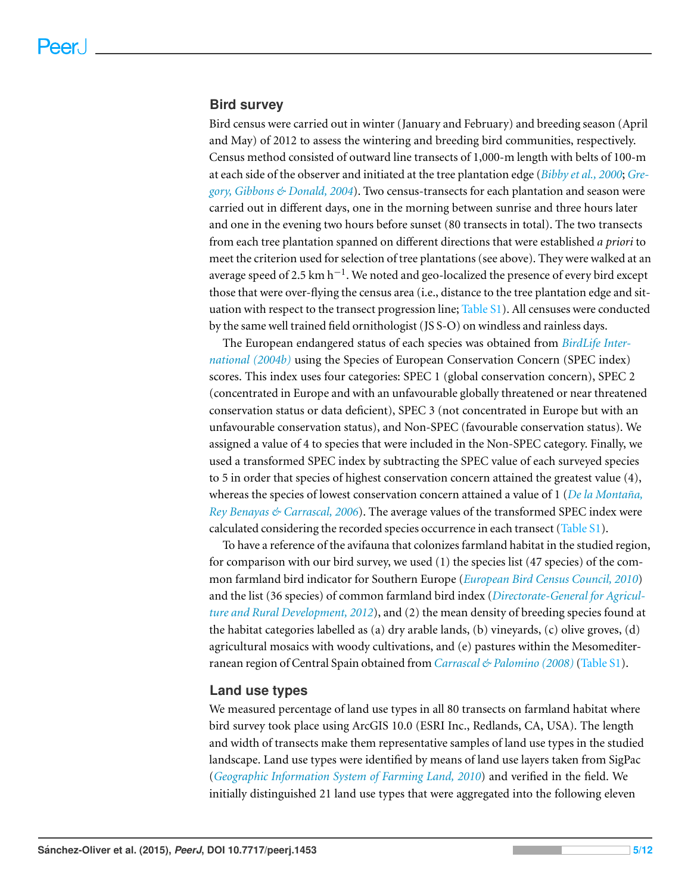#### **Bird survey**

Bird census were carried out in winter (January and February) and breeding season (April and May) of 2012 to assess the wintering and breeding bird communities, respectively. Census method consisted of outward line transects of 1,000-m length with belts of 100-m at each side of the observer and initiated at the tree plantation edge (*[Bibby](#page-8-2) [et](#page-8-2) [al.,](#page-8-2) [2000](#page-8-2)*; *[Gre](#page-10-10)[gory,](#page-10-10) [Gibbons](#page-10-10) [&](#page-10-10) [Donald,](#page-10-10) [2004](#page-10-10)*). Two census-transects for each plantation and season were carried out in different days, one in the morning between sunrise and three hours later and one in the evening two hours before sunset (80 transects in total). The two transects from each tree plantation spanned on different directions that were established *a priori* to meet the criterion used for selection of tree plantations (see above). They were walked at an average speed of 2.5  ${\rm km\,h^{-1}}$  . We noted and geo-localized the presence of every bird except those that were over-flying the census area (i.e., distance to the tree plantation edge and situation with respect to the transect progression line;  $Table S1$  $Table S1$ ). All censuses were conducted by the same well trained field ornithologist (JS S-O) on windless and rainless days.

The European endangered status of each species was obtained from *[BirdLife](#page-9-10) [Inter](#page-9-10)[national](#page-9-10) [\(2004b\)](#page-9-10)* using the Species of European Conservation Concern (SPEC index) scores. This index uses four categories: SPEC 1 (global conservation concern), SPEC 2 (concentrated in Europe and with an unfavourable globally threatened or near threatened conservation status or data deficient), SPEC 3 (not concentrated in Europe but with an unfavourable conservation status), and Non-SPEC (favourable conservation status). We assigned a value of 4 to species that were included in the Non-SPEC category. Finally, we used a transformed SPEC index by subtracting the SPEC value of each surveyed species to 5 in order that species of highest conservation concern attained the greatest value (4), whereas the species of lowest conservation concern attained a value of 1 (*[De](#page-9-11) [la](#page-9-11) Montaña*, *[Rey](#page-9-11) [Benayas](#page-9-11) [&](#page-9-11) [Carrascal,](#page-9-11) [2006](#page-9-11)*). The average values of the transformed SPEC index were calculated considering the recorded species occurrence in each transect [\(Table](http://dx.doi.org/10.7717/peerj.1453/supp-1) [S1\)](http://dx.doi.org/10.7717/peerj.1453/supp-1).

To have a reference of the avifauna that colonizes farmland habitat in the studied region, for comparison with our bird survey, we used (1) the species list (47 species) of the common farmland bird indicator for Southern Europe (*[European](#page-9-7) [Bird](#page-9-7) [Census](#page-9-7) [Council,](#page-9-7) [2010](#page-9-7)*) and the list (36 species) of common farmland bird index (*[Directorate-General](#page-9-12) [for](#page-9-12) [Agricul](#page-9-12)[ture](#page-9-12) [and](#page-9-12) [Rural](#page-9-12) [Development,](#page-9-12) [2012](#page-9-12)*), and (2) the mean density of breeding species found at the habitat categories labelled as (a) dry arable lands, (b) vineyards, (c) olive groves, (d) agricultural mosaics with woody cultivations, and (e) pastures within the Mesomediterranean region of Central Spain obtained from *[Carrascal](#page-9-13) [&](#page-9-13) [Palomino](#page-9-13) [\(2008\)](#page-9-13)*[\(Table](http://dx.doi.org/10.7717/peerj.1453/supp-1) [S1\)](http://dx.doi.org/10.7717/peerj.1453/supp-1).

#### **Land use types**

We measured percentage of land use types in all 80 transects on farmland habitat where bird survey took place using ArcGIS 10.0 (ESRI Inc., Redlands, CA, USA). The length and width of transects make them representative samples of land use types in the studied landscape. Land use types were identified by means of land use layers taken from SigPac (*[Geographic](#page-10-9) [Information](#page-10-9) [System](#page-10-9) [of](#page-10-9) [Farming](#page-10-9) [Land,](#page-10-9) [2010](#page-10-9)*) and verified in the field. We initially distinguished 21 land use types that were aggregated into the following eleven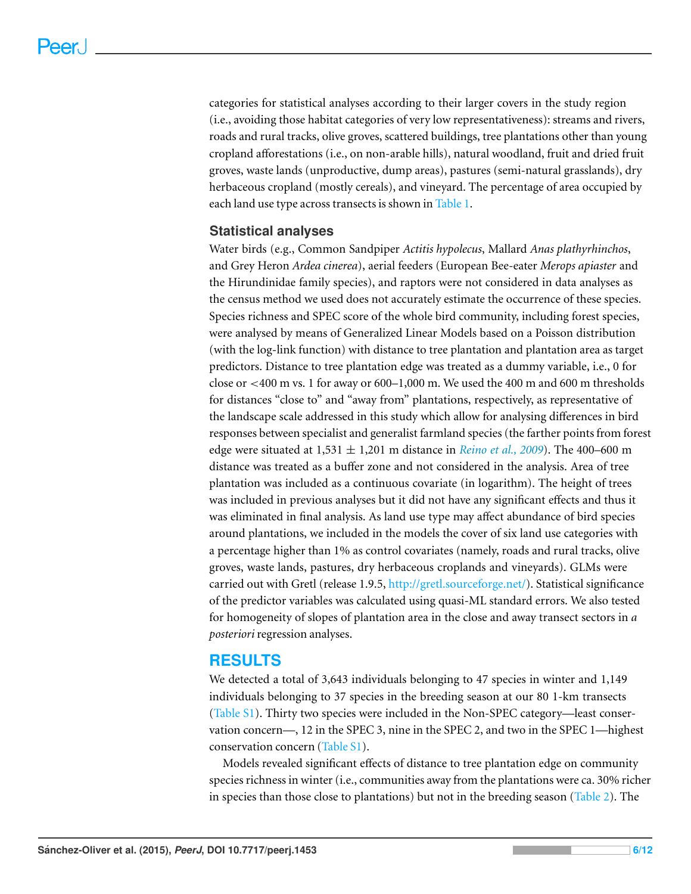categories for statistical analyses according to their larger covers in the study region (i.e., avoiding those habitat categories of very low representativeness): streams and rivers, roads and rural tracks, olive groves, scattered buildings, tree plantations other than young cropland afforestations (i.e., on non-arable hills), natural woodland, fruit and dried fruit groves, waste lands (unproductive, dump areas), pastures (semi-natural grasslands), dry herbaceous cropland (mostly cereals), and vineyard. The percentage of area occupied by each land use type across transects is shown in [Table 1.](#page-3-0)

# **Statistical analyses**

Water birds (e.g., Common Sandpiper *Actitis hypolecus*, Mallard *Anas plathyrhinchos*, and Grey Heron *Ardea cinerea*), aerial feeders (European Bee-eater *Merops apiaster* and the Hirundinidae family species), and raptors were not considered in data analyses as the census method we used does not accurately estimate the occurrence of these species. Species richness and SPEC score of the whole bird community, including forest species, were analysed by means of Generalized Linear Models based on a Poisson distribution (with the log-link function) with distance to tree plantation and plantation area as target predictors. Distance to tree plantation edge was treated as a dummy variable, i.e., 0 for close or  $\lt$ 400 m vs. 1 for away or 600–1,000 m. We used the 400 m and 600 m thresholds for distances "close to" and "away from" plantations, respectively, as representative of the landscape scale addressed in this study which allow for analysing differences in bird responses between specialist and generalist farmland species (the farther points from forest edge were situated at  $1,531 \pm 1,201$  m distance in *[Reino](#page-10-3) [et](#page-10-3) [al.,](#page-10-3) [2009](#page-10-3)*). The 400–600 m distance was treated as a buffer zone and not considered in the analysis. Area of tree plantation was included as a continuous covariate (in logarithm). The height of trees was included in previous analyses but it did not have any significant effects and thus it was eliminated in final analysis. As land use type may affect abundance of bird species around plantations, we included in the models the cover of six land use categories with a percentage higher than 1% as control covariates (namely, roads and rural tracks, olive groves, waste lands, pastures, dry herbaceous croplands and vineyards). GLMs were carried out with Gretl (release 1.9.5, [http://gretl.sourceforge.net/\)](http://gretl.sourceforge.net/). Statistical significance of the predictor variables was calculated using quasi-ML standard errors. We also tested for homogeneity of slopes of plantation area in the close and away transect sectors in *a posteriori*regression analyses.

# **RESULTS**

We detected a total of 3,643 individuals belonging to 47 species in winter and 1,149 individuals belonging to 37 species in the breeding season at our 80 1-km transects [\(Table](http://dx.doi.org/10.7717/peerj.1453/supp-1) [S1\)](http://dx.doi.org/10.7717/peerj.1453/supp-1). Thirty two species were included in the Non-SPEC category—least conservation concern—, 12 in the SPEC 3, nine in the SPEC 2, and two in the SPEC 1—highest conservation concern [\(Table](http://dx.doi.org/10.7717/peerj.1453/supp-1) [S1\)](http://dx.doi.org/10.7717/peerj.1453/supp-1).

Models revealed significant effects of distance to tree plantation edge on community species richness in winter (i.e., communities away from the plantations were ca. 30% richer in species than those close to plantations) but not in the breeding season [\(Table 2\)](#page-6-0). The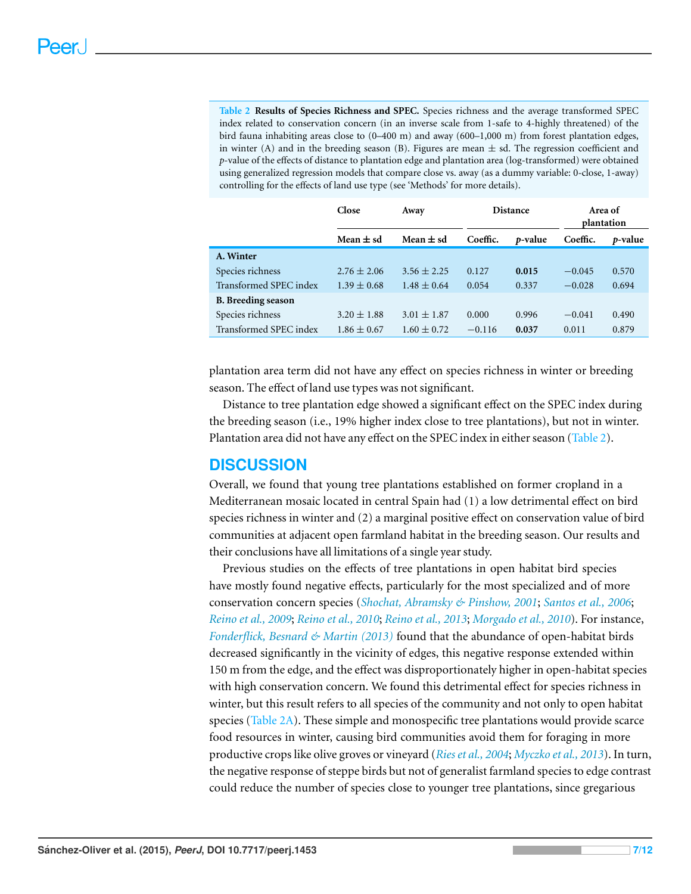<span id="page-6-0"></span>**Table 2 Results of Species Richness and SPEC.** Species richness and the average transformed SPEC index related to conservation concern (in an inverse scale from 1-safe to 4-highly threatened) of the bird fauna inhabiting areas close to  $(0-400 \text{ m})$  and away  $(600-1,000 \text{ m})$  from forest plantation edges, in winter (A) and in the breeding season (B). Figures are mean  $\pm$  sd. The regression coefficient and *p*-value of the effects of distance to plantation edge and plantation area (log-transformed) were obtained using generalized regression models that compare close vs. away (as a dummy variable: 0-close, 1-away) controlling for the effects of land use type (see 'Methods' for more details).

|                           | Close           | Away            | <b>Distance</b> |         | Area of<br>plantation |         |
|---------------------------|-----------------|-----------------|-----------------|---------|-----------------------|---------|
|                           | Mean $\pm$ sd   | Mean $\pm$ sd   | Coeffic.        | p-value | Coeffic.              | p-value |
| A. Winter                 |                 |                 |                 |         |                       |         |
| Species richness          | $2.76 \pm 2.06$ | $3.56 \pm 2.25$ | 0.127           | 0.015   | $-0.045$              | 0.570   |
| Transformed SPEC index    | $1.39 \pm 0.68$ | $1.48 \pm 0.64$ | 0.054           | 0.337   | $-0.028$              | 0.694   |
| <b>B.</b> Breeding season |                 |                 |                 |         |                       |         |
| Species richness          | $3.20 \pm 1.88$ | $3.01 \pm 1.87$ | 0.000           | 0.996   | $-0.041$              | 0.490   |
| Transformed SPEC index    | $1.86 \pm 0.67$ | $1.60 \pm 0.72$ | $-0.116$        | 0.037   | 0.011                 | 0.879   |

plantation area term did not have any effect on species richness in winter or breeding season. The effect of land use types was not significant.

Distance to tree plantation edge showed a significant effect on the SPEC index during the breeding season (i.e., 19% higher index close to tree plantations), but not in winter. Plantation area did not have any effect on the SPEC index in either season [\(Table 2\)](#page-6-0).

# **DISCUSSION**

Overall, we found that young tree plantations established on former cropland in a Mediterranean mosaic located in central Spain had (1) a low detrimental effect on bird species richness in winter and (2) a marginal positive effect on conservation value of bird communities at adjacent open farmland habitat in the breeding season. Our results and their conclusions have all limitations of a single year study.

Previous studies on the effects of tree plantations in open habitat bird species have mostly found negative effects, particularly for the most specialized and of more conservation concern species (*[Shochat,](#page-11-5) [Abramsky](#page-11-5) [&](#page-11-5) [Pinshow,](#page-11-5) [2001](#page-11-5)*; *[Santos](#page-11-2) [et](#page-11-2) [al.,](#page-11-2) [2006](#page-11-2)*; *[Reino](#page-10-3) [et](#page-10-3) [al.,](#page-10-3) [2009](#page-10-3)*; *[Reino](#page-10-4) [et](#page-10-4) [al.,](#page-10-4) [2010](#page-10-4)*; *[Reino](#page-10-11) [et](#page-10-11) [al.,](#page-10-11) [2013](#page-10-11)*; *[Morgado](#page-10-7) [et](#page-10-7) [al.,](#page-10-7) [2010](#page-10-7)*). For instance, *[Fonderflick,](#page-10-12) [Besnard](#page-10-12) [&](#page-10-12) [Martin](#page-10-12) [\(2013\)](#page-10-12)* found that the abundance of open-habitat birds decreased significantly in the vicinity of edges, this negative response extended within 150 m from the edge, and the effect was disproportionately higher in open-habitat species with high conservation concern. We found this detrimental effect for species richness in winter, but this result refers to all species of the community and not only to open habitat species [\(Table 2A\)](#page-6-0). These simple and monospecific tree plantations would provide scarce food resources in winter, causing bird communities avoid them for foraging in more productive crops like olive groves or vineyard (*[Rieset](#page-10-13) [al.,](#page-10-13) [2004](#page-10-13)*; *[Myczko](#page-10-14) [et](#page-10-14) [al.,](#page-10-14) [2013](#page-10-14)*). In turn, the negative response of steppe birds but not of generalist farmland species to edge contrast could reduce the number of species close to younger tree plantations, since gregarious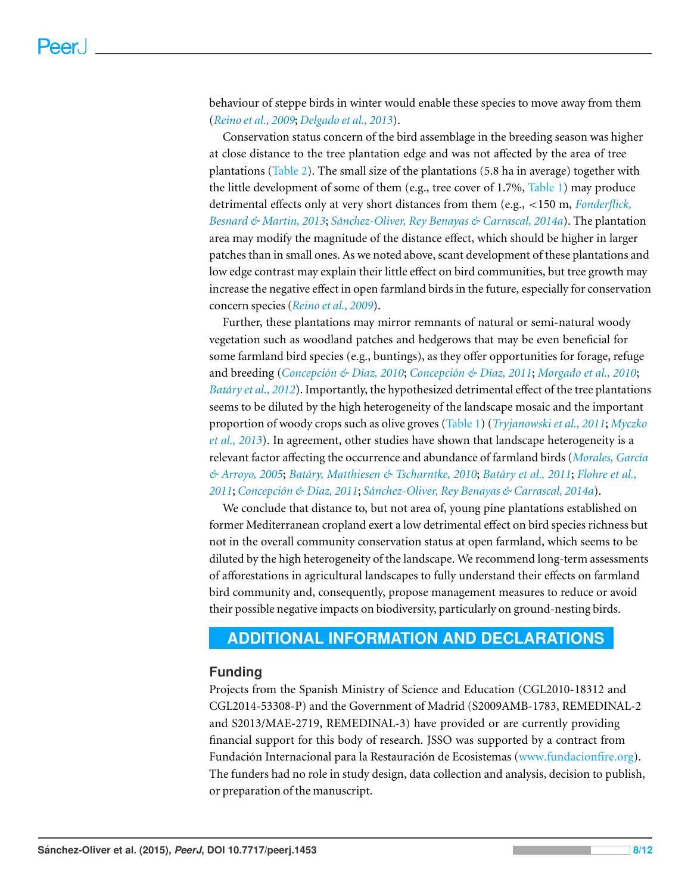behaviour of steppe birds in winter would enable these species to move away from them (*[Reino](#page-10-3) [et](#page-10-3) [al.,](#page-10-3) [2009](#page-10-3)*; *[Delgado](#page-9-9) [et](#page-9-9) [al.,](#page-9-9) [2013](#page-9-9)*).

Conservation status concern of the bird assemblage in the breeding season was higher at close distance to the tree plantation edge and was not affected by the area of tree plantations [\(Table 2\)](#page-6-0). The small size of the plantations (5.8 ha in average) together with the little development of some of them (e.g., tree cover of 1.7%, [Table 1\)](#page-3-0) may produce detrimental effects only at very short distances from them (e.g., <150 m, *[Fonderflick,](#page-10-12) [Besnard](#page-10-12) [&](#page-10-12) [Martin,](#page-10-12) [2013](#page-10-12)*; *[Sanchez-Oliver,](#page-10-5) ´ [Rey](#page-10-5) [Benayas](#page-10-5) [&](#page-10-5) [Carrascal,](#page-10-5) [2014a](#page-10-5)*). The plantation area may modify the magnitude of the distance effect, which should be higher in larger patches than in small ones. As we noted above, scant development of these plantations and low edge contrast may explain their little effect on bird communities, but tree growth may increase the negative effect in open farmland birds in the future, especially for conservation concern species (*[Reino](#page-10-3) [et](#page-10-3) [al.,](#page-10-3) [2009](#page-10-3)*).

Further, these plantations may mirror remnants of natural or semi-natural woody vegetation such as woodland patches and hedgerows that may be even beneficial for some farmland bird species (e.g., buntings), as they offer opportunities for forage, refuge and breeding (*[Concepcion´](#page-9-14) [&](#page-9-14) [D´ıaz,](#page-9-14) [2010](#page-9-14)*; *[Concepcion´](#page-9-15) [&](#page-9-15) [D´ıaz,](#page-9-15) [2011](#page-9-15)*; *[Morgado](#page-10-7) [et](#page-10-7) [al.,](#page-10-7) [2010](#page-10-7)*; *Batáry [et](#page-8-3) [al.,](#page-8-3) [2012](#page-8-3)*). Importantly, the hypothesized detrimental effect of the tree plantations seems to be diluted by the high heterogeneity of the landscape mosaic and the important proportion of woody crops such as olive groves [\(Table 1\)](#page-3-0) (*[Tryjanowski](#page-11-6) [et](#page-11-6) [al.,](#page-11-6) [2011](#page-11-6)*; *[Myczko](#page-10-14) [et](#page-10-14) [al.,](#page-10-14) [2013](#page-10-14)*). In agreement, other studies have shown that landscape heterogeneity is a relevant factor affecting the occurrence and abundance of farmland birds ([Morales,](#page-10-15) García *[&](#page-10-15) [Arroyo,](#page-10-15) [2005](#page-10-15)*; *[Batary,](#page-8-4) ´ [Matthiesen](#page-8-4) [&](#page-8-4) [Tscharntke,](#page-8-4) [2010](#page-8-4)*; *[Batary](#page-8-5) ´ [et](#page-8-5) [al.,](#page-8-5) [2011](#page-8-5)*; *[Flohre](#page-9-16) [et](#page-9-16) [al.,](#page-9-16) [2011](#page-9-16)*; *[Concepcion´](#page-9-15) [&](#page-9-15) [D´ıaz,](#page-9-15) [2011](#page-9-15)*; *[Sanchez-Oliver,](#page-10-5) ´ [Rey](#page-10-5) [Benayas](#page-10-5) [&](#page-10-5) [Carrascal,](#page-10-5) [2014a](#page-10-5)*).

We conclude that distance to, but not area of, young pine plantations established on former Mediterranean cropland exert a low detrimental effect on bird species richness but not in the overall community conservation status at open farmland, which seems to be diluted by the high heterogeneity of the landscape. We recommend long-term assessments of afforestations in agricultural landscapes to fully understand their effects on farmland bird community and, consequently, propose management measures to reduce or avoid their possible negative impacts on biodiversity, particularly on ground-nesting birds.

# <span id="page-7-0"></span>**ADDITIONAL INFORMATION AND DECLARATIONS**

# **Funding**

Projects from the Spanish Ministry of Science and Education (CGL2010-18312 and CGL2014-53308-P) and the Government of Madrid (S2009AMB-1783, REMEDINAL-2 and S2013/MAE-2719, REMEDINAL-3) have provided or are currently providing financial support for this body of research. JSSO was supported by a contract from Fundación Internacional para la Restauración de Ecosistemas ([www.fundacionfire.org\)](http://www.fundacionfire.org). The funders had no role in study design, data collection and analysis, decision to publish, or preparation of the manuscript.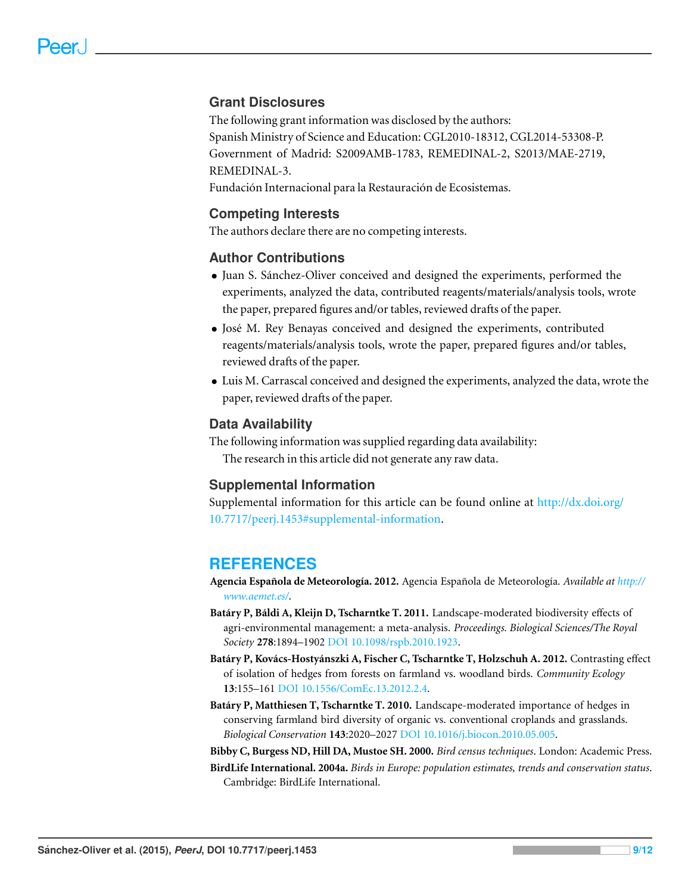# **Grant Disclosures**

The following grant information was disclosed by the authors: Spanish Ministry of Science and Education: CGL2010-18312, CGL2014-53308-P. Government of Madrid: S2009AMB-1783, REMEDINAL-2, S2013/MAE-2719, REMEDINAL-3.

Fundación Internacional para la Restauración de Ecosistemas.

#### **Competing Interests**

The authors declare there are no competing interests.

#### **Author Contributions**

- Juan S. Sanchez-Oliver conceived and designed the experiments, performed the ´ experiments, analyzed the data, contributed reagents/materials/analysis tools, wrote the paper, prepared figures and/or tables, reviewed drafts of the paper.
- Jose M. Rey Benayas conceived and designed the experiments, contributed ´ reagents/materials/analysis tools, wrote the paper, prepared figures and/or tables, reviewed drafts of the paper.
- Luis M. Carrascal conceived and designed the experiments, analyzed the data, wrote the paper, reviewed drafts of the paper.

#### **Data Availability**

The following information was supplied regarding data availability: The research in this article did not generate any raw data.

#### **Supplemental Information**

Supplemental information for this article can be found online at [http://dx.doi.org/](http://dx.doi.org/10.7717/peerj.1453#supplemental-information) [10.7717/peerj.1453#supplemental-information.](http://dx.doi.org/10.7717/peerj.1453#supplemental-information)

# **REFERENCES**

<span id="page-8-1"></span>**Agencia Española de Meteorología. 2012.** Agencia Española de Meteorología. Available at *[http://](http://www.aemet.es/) [www.aemet.es/](http://www.aemet.es/)*.

- <span id="page-8-5"></span>**Batary P, B ´ aldi A, Kleijn D, Tscharntke T. 2011. ´** Landscape-moderated biodiversity effects of agri-environmental management: a meta-analysis. *Proceedings. Biological Sciences/The Royal Society* **278**:1894–1902 DOI [10.1098/rspb.2010.1923.](http://dx.doi.org/10.1098/rspb.2010.1923)
- <span id="page-8-3"></span>**Batary P, Kov ´ acs-Hosty ´ anszki A, Fischer C, Tscharntke T, Holzschuh A. 2012. ´** Contrasting effect of isolation of hedges from forests on farmland vs. woodland birds. *Community Ecology* **13**:155–161 DOI [10.1556/ComEc.13.2012.2.4.](http://dx.doi.org/10.1556/ComEc.13.2012.2.4)
- <span id="page-8-4"></span>**Batáry P, Matthiesen T, Tscharntke T. 2010.** Landscape-moderated importance of hedges in conserving farmland bird diversity of organic vs. conventional croplands and grasslands. *Biological Conservation* **143**:2020–2027 DOI [10.1016/j.biocon.2010.05.005.](http://dx.doi.org/10.1016/j.biocon.2010.05.005)

<span id="page-8-2"></span><span id="page-8-0"></span>**Bibby C, Burgess ND, Hill DA, Mustoe SH. 2000.** *Bird census techniques*. London: Academic Press. **BirdLife International. 2004a.** *Birds in Europe: population estimates, trends and conservation status*. Cambridge: BirdLife International.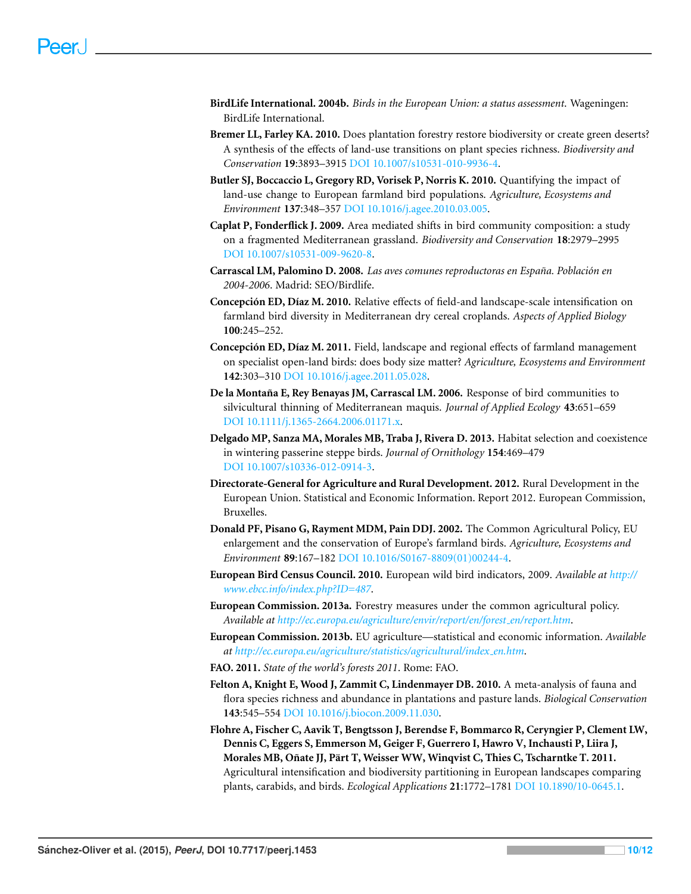- <span id="page-9-10"></span>**BirdLife International. 2004b.** *Birds in the European Union: a status assessment*. Wageningen: BirdLife International.
- <span id="page-9-3"></span>**Bremer LL, Farley KA. 2010.** Does plantation forestry restore biodiversity or create green deserts? A synthesis of the effects of land-use transitions on plant species richness. *Biodiversity and Conservation* **19**:3893–3915 DOI [10.1007/s10531-010-9936-4.](http://dx.doi.org/10.1007/s10531-010-9936-4)
- <span id="page-9-6"></span>**Butler SJ, Boccaccio L, Gregory RD, Vorisek P, Norris K. 2010.** Quantifying the impact of land-use change to European farmland bird populations. *Agriculture, Ecosystems and Environment* **137**:348–357 DOI [10.1016/j.agee.2010.03.005.](http://dx.doi.org/10.1016/j.agee.2010.03.005)
- <span id="page-9-8"></span>**Caplat P, Fonderflick J. 2009.** Area mediated shifts in bird community composition: a study on a fragmented Mediterranean grassland. *Biodiversity and Conservation* **18**:2979–2995 DOI [10.1007/s10531-009-9620-8.](http://dx.doi.org/10.1007/s10531-009-9620-8)
- <span id="page-9-13"></span>**Carrascal LM, Palomino D. 2008.** *Las aves comunes reproductoras en Espana. Poblaci ˜ on en ´ 2004-2006*. Madrid: SEO/Birdlife.
- <span id="page-9-14"></span>**Concepción ED, Díaz M. 2010.** Relative effects of field-and landscape-scale intensification on farmland bird diversity in Mediterranean dry cereal croplands. *Aspects of Applied Biology* **100**:245–252.
- <span id="page-9-15"></span>**Concepción ED, Díaz M. 2011.** Field, landscape and regional effects of farmland management on specialist open-land birds: does body size matter? *Agriculture, Ecosystems and Environment* **142**:303–310 DOI [10.1016/j.agee.2011.05.028.](http://dx.doi.org/10.1016/j.agee.2011.05.028)
- <span id="page-9-11"></span>De la Montaña E, Rey Benayas JM, Carrascal LM. 2006. Response of bird communities to silvicultural thinning of Mediterranean maquis. *Journal of Applied Ecology* **43**:651–659 DOI [10.1111/j.1365-2664.2006.01171.x.](http://dx.doi.org/10.1111/j.1365-2664.2006.01171.x)
- <span id="page-9-9"></span>**Delgado MP, Sanza MA, Morales MB, Traba J, Rivera D. 2013.** Habitat selection and coexistence in wintering passerine steppe birds. *Journal of Ornithology* **154**:469–479 DOI [10.1007/s10336-012-0914-3.](http://dx.doi.org/10.1007/s10336-012-0914-3)
- <span id="page-9-12"></span>**Directorate-General for Agriculture and Rural Development. 2012.** Rural Development in the European Union. Statistical and Economic Information. Report 2012. European Commission, Bruxelles.
- <span id="page-9-5"></span>**Donald PF, Pisano G, Rayment MDM, Pain DDJ. 2002.** The Common Agricultural Policy, EU enlargement and the conservation of Europe's farmland birds. *Agriculture, Ecosystems and Environment* **89**:167–182 DOI [10.1016/S0167-8809\(01\)00244-4.](http://dx.doi.org/10.1016/S0167-8809(01)00244-4)
- <span id="page-9-7"></span>**European Bird Census Council. 2010.** European wild bird indicators, 2009. *Available at [http://](http://www.ebcc.info/index.php?ID=487) [www.ebcc.info/index.php?ID=487](http://www.ebcc.info/index.php?ID=487)*.
- <span id="page-9-1"></span>**European Commission. 2013a.** Forestry measures under the common agricultural policy. *Available at [http://ec.europa.eu/agriculture/envir/report/en/forest](http://ec.europa.eu/agriculture/envir/report/en/forest_en/report.htm) [en/report.htm](http://ec.europa.eu/agriculture/envir/report/en/forest_en/report.htm)*.
- <span id="page-9-2"></span>**European Commission. 2013b.** EU agriculture—statistical and economic information. *Available at [http://ec.europa.eu/agriculture/statistics/agricultural/index](http://ec.europa.eu/agriculture/statistics/agricultural/index_en.htm) [en.htm](http://ec.europa.eu/agriculture/statistics/agricultural/index_en.htm)*.
- <span id="page-9-0"></span>**FAO. 2011.** *State of the world's forests 2011*. Rome: FAO.
- <span id="page-9-4"></span>**Felton A, Knight E, Wood J, Zammit C, Lindenmayer DB. 2010.** A meta-analysis of fauna and flora species richness and abundance in plantations and pasture lands. *Biological Conservation* **143**:545–554 DOI [10.1016/j.biocon.2009.11.030.](http://dx.doi.org/10.1016/j.biocon.2009.11.030)
- <span id="page-9-16"></span>**Flohre A, Fischer C, Aavik T, Bengtsson J, Berendse F, Bommarco R, Ceryngier P, Clement LW, Dennis C, Eggers S, Emmerson M, Geiger F, Guerrero I, Hawro V, Inchausti P, Liira J,** Morales MB, Oñate JJ, Pärt T, Weisser WW, Winqvist C, Thies C, Tscharntke T. 2011. Agricultural intensification and biodiversity partitioning in European landscapes comparing plants, carabids, and birds. *Ecological Applications* **21**:1772–1781 DOI [10.1890/10-0645.1.](http://dx.doi.org/10.1890/10-0645.1)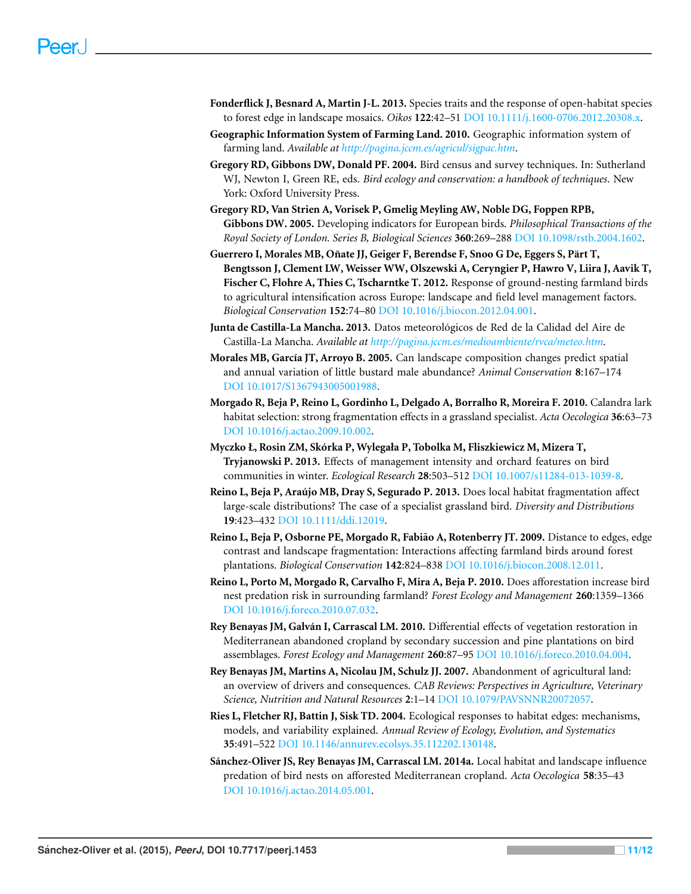- <span id="page-10-12"></span>**Fonderflick J, Besnard A, Martin J-L. 2013.** Species traits and the response of open-habitat species to forest edge in landscape mosaics. *Oikos* **122**:42–51 DOI [10.1111/j.1600-0706.2012.20308.x.](http://dx.doi.org/10.1111/j.1600-0706.2012.20308.x)
- <span id="page-10-9"></span>**Geographic Information System of Farming Land. 2010.** Geographic information system of farming land. *Available at <http://pagina.jccm.es/agricul/sigpac.htm>*.
- <span id="page-10-10"></span>**Gregory RD, Gibbons DW, Donald PF. 2004.** Bird census and survey techniques. In: Sutherland WJ, Newton I, Green RE, eds. *Bird ecology and conservation: a handbook of techniques*. New York: Oxford University Press.
- <span id="page-10-1"></span>**Gregory RD, Van Strien A, Vorisek P, Gmelig Meyling AW, Noble DG, Foppen RPB, Gibbons DW. 2005.** Developing indicators for European birds. *Philosophical Transactions of the Royal Society of London. Series B, Biological Sciences* **360**:269–288 DOI [10.1098/rstb.2004.1602.](http://dx.doi.org/10.1098/rstb.2004.1602)
- <span id="page-10-2"></span>**Guerrero I, Morales MB, Onate JJ, Geiger F, Berendse F, Snoo G De, Eggers S, P ˜ art T, ¨ Bengtsson J, Clement LW, Weisser WW, Olszewski A, Ceryngier P, Hawro V, Liira J, Aavik T, Fischer C, Flohre A, Thies C, Tscharntke T. 2012.** Response of ground-nesting farmland birds to agricultural intensification across Europe: landscape and field level management factors. *Biological Conservation* **152**:74–80 DOI [10.1016/j.biocon.2012.04.001.](http://dx.doi.org/10.1016/j.biocon.2012.04.001)
- <span id="page-10-8"></span>Junta de Castilla-La Mancha. 2013. Datos meteorológicos de Red de la Calidad del Aire de Castilla-La Mancha. *Available at <http://pagina.jccm.es/medioambiente/rvca/meteo.htm>*.
- <span id="page-10-15"></span>**Morales MB, Garc´ıa JT, Arroyo B. 2005.** Can landscape composition changes predict spatial and annual variation of little bustard male abundance? *Animal Conservation* **8**:167–174 DOI [10.1017/S1367943005001988.](http://dx.doi.org/10.1017/S1367943005001988)
- <span id="page-10-7"></span>**Morgado R, Beja P, Reino L, Gordinho L, Delgado A, Borralho R, Moreira F. 2010.** Calandra lark habitat selection: strong fragmentation effects in a grassland specialist. *Acta Oecologica* **36**:63–73 DOI [10.1016/j.actao.2009.10.002.](http://dx.doi.org/10.1016/j.actao.2009.10.002)
- <span id="page-10-14"></span>**Myczko Ł, Rosin ZM, Skorka P, Wylegała P, Tobolka M, Fliszkiewicz M, Mizera T, ´ Tryjanowski P. 2013.** Effects of management intensity and orchard features on bird communities in winter. *Ecological Research* **28**:503–512 DOI [10.1007/s11284-013-1039-8.](http://dx.doi.org/10.1007/s11284-013-1039-8)
- <span id="page-10-11"></span>**Reino L, Beja P, Araujo MB, Dray S, Segurado P. 2013. ´** Does local habitat fragmentation affect large-scale distributions? The case of a specialist grassland bird. *Diversity and Distributions* **19**:423–432 DOI [10.1111/ddi.12019.](http://dx.doi.org/10.1111/ddi.12019)
- <span id="page-10-3"></span>**Reino L, Beja P, Osborne PE, Morgado R, Fabião A, Rotenberry JT. 2009.** Distance to edges, edge contrast and landscape fragmentation: Interactions affecting farmland birds around forest plantations. *Biological Conservation* **142**:824–838 DOI [10.1016/j.biocon.2008.12.011.](http://dx.doi.org/10.1016/j.biocon.2008.12.011)
- <span id="page-10-4"></span>**Reino L, Porto M, Morgado R, Carvalho F, Mira A, Beja P. 2010.** Does afforestation increase bird nest predation risk in surrounding farmland? *Forest Ecology and Management* **260**:1359–1366 DOI [10.1016/j.foreco.2010.07.032.](http://dx.doi.org/10.1016/j.foreco.2010.07.032)
- <span id="page-10-6"></span>**Rey Benayas JM, Galvan I, Carrascal LM. 2010. ´** Differential effects of vegetation restoration in Mediterranean abandoned cropland by secondary succession and pine plantations on bird assemblages. *Forest Ecology and Management* **260**:87–95 DOI [10.1016/j.foreco.2010.04.004.](http://dx.doi.org/10.1016/j.foreco.2010.04.004)
- <span id="page-10-0"></span>**Rey Benayas JM, Martins A, Nicolau JM, Schulz JJ. 2007.** Abandonment of agricultural land: an overview of drivers and consequences. *CAB Reviews: Perspectives in Agriculture, Veterinary Science, Nutrition and Natural Resources* **2**:1–14 DOI [10.1079/PAVSNNR20072057.](http://dx.doi.org/10.1079/PAVSNNR20072057)
- <span id="page-10-13"></span>**Ries L, Fletcher RJ, Battin J, Sisk TD. 2004.** Ecological responses to habitat edges: mechanisms, models, and variability explained. *Annual Review of Ecology, Evolution, and Systematics* **35**:491–522 DOI [10.1146/annurev.ecolsys.35.112202.130148.](http://dx.doi.org/10.1146/annurev.ecolsys.35.112202.130148)
- <span id="page-10-5"></span>**Sánchez-Oliver JS, Rey Benayas JM, Carrascal LM. 2014a.** Local habitat and landscape influence predation of bird nests on afforested Mediterranean cropland. *Acta Oecologica* **58**:35–43 DOI [10.1016/j.actao.2014.05.001.](http://dx.doi.org/10.1016/j.actao.2014.05.001)